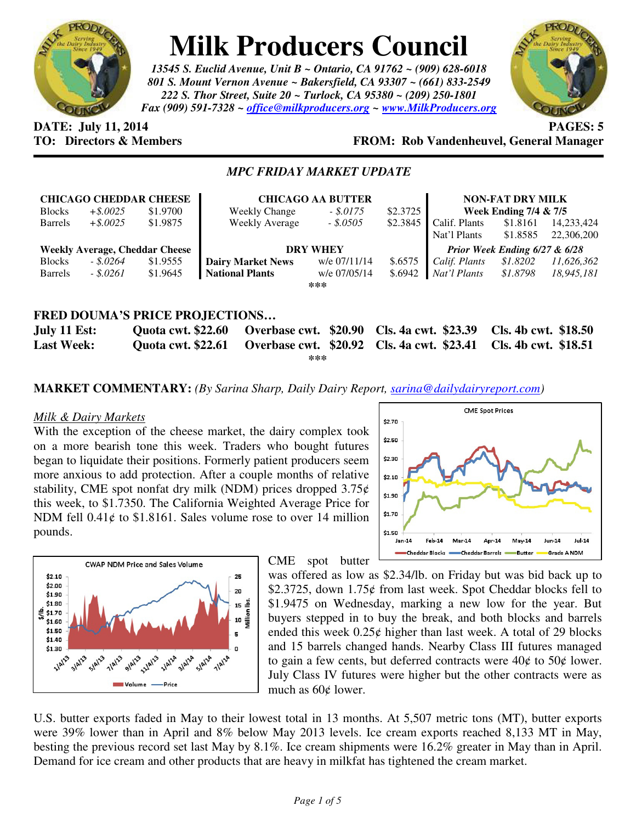

# **Milk Producers Council**

*13545 S. Euclid Avenue, Unit B ~ Ontario, CA 91762 ~ (909) 628-6018 801 S. Mount Vernon Avenue ~ Bakersfield, CA 93307 ~ (661) 833-2549 222 S. Thor Street, Suite 20 ~ Turlock, CA 95380 ~ (209) 250-1801 Fax (909) 591-7328 ~ office@milkproducers.org ~ www.MilkProducers.org*



# **DATE:** July 11, 2014 **PAGES:** 5

# **TO: Directors & Members FROM: Rob Vandenheuvel, General Manager**

## *MPC FRIDAY MARKET UPDATE*

| <b>CHICAGO CHEDDAR CHEESE</b>         |             |          | <b>CHICAGO AA BUTTER</b> |              |          | <b>NON-FAT DRY MILK</b>          |          |            |
|---------------------------------------|-------------|----------|--------------------------|--------------|----------|----------------------------------|----------|------------|
| <b>Blocks</b>                         | $+$ \$.0025 | \$1.9700 | <b>Weekly Change</b>     | $-.5.0175$   | \$2,3725 | <b>Week Ending 7/4 &amp; 7/5</b> |          |            |
| <b>Barrels</b>                        | $+$ \$.0025 | \$1.9875 | Weekly Average           | $-.50505$    | \$2.3845 | Calif. Plants                    | \$1.8161 | 14,233,424 |
|                                       |             |          |                          |              |          | Nat'l Plants                     | \$1.8585 | 22,306,200 |
| <b>Weekly Average, Cheddar Cheese</b> |             |          | <b>DRY WHEY</b>          |              |          | Prior Week Ending $6/27 & 6/28$  |          |            |
| <b>Blocks</b>                         | $-.5.0264$  | \$1.9555 | <b>Dairy Market News</b> | w/e 07/11/14 | \$.6575  | Calif. Plants                    | \$1.8202 | 11,626,362 |
| <b>Barrels</b>                        | $-.5.0261$  | \$1.9645 | <b>National Plants</b>   | w/e 07/05/14 | \$.6942  | Nat'l Plants                     | \$1.8798 | 18.945.181 |
|                                       |             |          |                          | ***          |          |                                  |          |            |
|                                       |             |          |                          |              |          |                                  |          |            |
| FRED DOUMA'S PRICE PROJECTIONS        |             |          |                          |              |          |                                  |          |            |

| July 11 Est:<br><b>Last Week:</b> | *** | Quota cwt. \$22.60 Overbase cwt. \$20.90 Cls. 4a cwt. \$23.39 Cls. 4b cwt. \$18.50<br>Quota cwt. \$22.61 Overbase cwt. \$20.92 Cls. 4a cwt. \$23.41 Cls. 4b cwt. \$18.51 |  |
|-----------------------------------|-----|--------------------------------------------------------------------------------------------------------------------------------------------------------------------------|--|
|                                   |     |                                                                                                                                                                          |  |

**MARKET COMMENTARY:** *(By Sarina Sharp, Daily Dairy Report, sarina@dailydairyreport.com)* 

#### *Milk & Dairy Markets*

With the exception of the cheese market, the dairy complex took on a more bearish tone this week. Traders who bought futures began to liquidate their positions. Formerly patient producers seem more anxious to add protection. After a couple months of relative stability, CME spot nonfat dry milk (NDM) prices dropped  $3.75¢$ this week, to \$1.7350. The California Weighted Average Price for NDM fell 0.41¢ to \$1.8161. Sales volume rose to over 14 million pounds.





CME spot butter

was offered as low as \$2.34/lb. on Friday but was bid back up to \$2.3725, down 1.75¢ from last week. Spot Cheddar blocks fell to \$1.9475 on Wednesday, marking a new low for the year. But buyers stepped in to buy the break, and both blocks and barrels ended this week  $0.25¢$  higher than last week. A total of 29 blocks and 15 barrels changed hands. Nearby Class III futures managed to gain a few cents, but deferred contracts were  $40¢$  to  $50¢$  lower. July Class IV futures were higher but the other contracts were as much as  $60¢$  lower.

U.S. butter exports faded in May to their lowest total in 13 months. At 5,507 metric tons (MT), butter exports were 39% lower than in April and 8% below May 2013 levels. Ice cream exports reached 8,133 MT in May, besting the previous record set last May by 8.1%. Ice cream shipments were 16.2% greater in May than in April. Demand for ice cream and other products that are heavy in milkfat has tightened the cream market.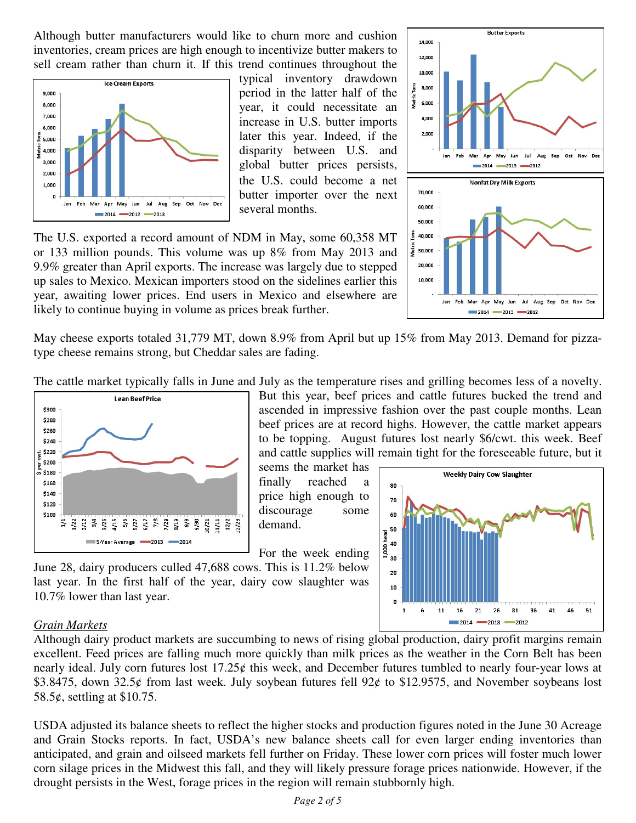Although butter manufacturers would like to churn more and cushion inventories, cream prices are high enough to incentivize butter makers to sell cream rather than churn it. If this trend continues throughout the



typical inventory drawdown period in the latter half of the year, it could necessitate an increase in U.S. butter imports later this year. Indeed, if the disparity between U.S. and global butter prices persists, the U.S. could become a net butter importer over the next several months.

The U.S. exported a record amount of NDM in May, some 60,358 MT or 133 million pounds. This volume was up 8% from May 2013 and 9.9% greater than April exports. The increase was largely due to stepped up sales to Mexico. Mexican importers stood on the sidelines earlier this year, awaiting lower prices. End users in Mexico and elsewhere are likely to continue buying in volume as prices break further.



 $2014 - 2013 - 2012$ 

May cheese exports totaled 31,779 MT, down 8.9% from April but up 15% from May 2013. Demand for pizzatype cheese remains strong, but Cheddar sales are fading.

The cattle market typically falls in June and July as the temperature rises and grilling becomes less of a novelty.



But this year, beef prices and cattle futures bucked the trend and ascended in impressive fashion over the past couple months. Lean beef prices are at record highs. However, the cattle market appears to be topping. August futures lost nearly \$6/cwt. this week. Beef and cattle supplies will remain tight for the foreseeable future, but it

seems the market has finally reached a price high enough to discourage some demand.

For the week ending





#### *Grain Markets*

Although dairy product markets are succumbing to news of rising global production, dairy profit margins remain excellent. Feed prices are falling much more quickly than milk prices as the weather in the Corn Belt has been nearly ideal. July corn futures lost 17.25¢ this week, and December futures tumbled to nearly four-year lows at \$3.8475, down 32.5 $\rlap{\textless}$  from last week. July soybean futures fell 92 $\rlap{\textless}$  to \$12.9575, and November soybeans lost 58.5 $\epsilon$ , settling at \$10.75.

USDA adjusted its balance sheets to reflect the higher stocks and production figures noted in the June 30 Acreage and Grain Stocks reports. In fact, USDA's new balance sheets call for even larger ending inventories than anticipated, and grain and oilseed markets fell further on Friday. These lower corn prices will foster much lower corn silage prices in the Midwest this fall, and they will likely pressure forage prices nationwide. However, if the drought persists in the West, forage prices in the region will remain stubbornly high.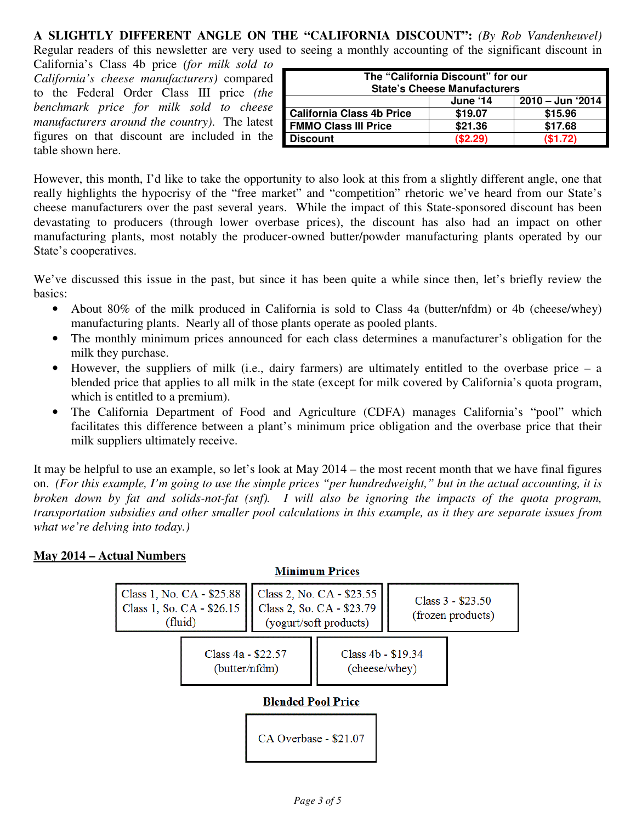# **A SLIGHTLY DIFFERENT ANGLE ON THE "CALIFORNIA DISCOUNT":** *(By Rob Vandenheuvel)* Regular readers of this newsletter are very used to seeing a monthly accounting of the significant discount in

California's Class 4b price *(for milk sold to California's cheese manufacturers)* compared to the Federal Order Class III price *(the benchmark price for milk sold to cheese manufacturers around the country)*. The latest figures on that discount are included in the table shown here.

| The "California Discount" for our<br><b>State's Cheese Manufacturers</b> |          |                  |  |  |  |
|--------------------------------------------------------------------------|----------|------------------|--|--|--|
|                                                                          | June '14 | 2010 – Jun '2014 |  |  |  |
| <b>California Class 4b Price</b>                                         | \$19.07  | \$15.96          |  |  |  |
| <b>FMMO Class III Price</b>                                              | \$21.36  | \$17.68          |  |  |  |
| <b>Discount</b>                                                          | (\$2.29) | (\$1.72)         |  |  |  |

However, this month, I'd like to take the opportunity to also look at this from a slightly different angle, one that really highlights the hypocrisy of the "free market" and "competition" rhetoric we've heard from our State's cheese manufacturers over the past several years. While the impact of this State-sponsored discount has been devastating to producers (through lower overbase prices), the discount has also had an impact on other manufacturing plants, most notably the producer-owned butter/powder manufacturing plants operated by our State's cooperatives.

We've discussed this issue in the past, but since it has been quite a while since then, let's briefly review the basics:

- About 80% of the milk produced in California is sold to Class 4a (butter/nfdm) or 4b (cheese/whey) manufacturing plants. Nearly all of those plants operate as pooled plants.
- The monthly minimum prices announced for each class determines a manufacturer's obligation for the milk they purchase.
- However, the suppliers of milk (i.e., dairy farmers) are ultimately entitled to the overbase price a blended price that applies to all milk in the state (except for milk covered by California's quota program, which is entitled to a premium).
- The California Department of Food and Agriculture (CDFA) manages California's "pool" which facilitates this difference between a plant's minimum price obligation and the overbase price that their milk suppliers ultimately receive.

It may be helpful to use an example, so let's look at May 2014 – the most recent month that we have final figures on. *(For this example, I'm going to use the simple prices "per hundredweight," but in the actual accounting, it is broken down by fat and solids-not-fat (snf). I will also be ignoring the impacts of the quota program, transportation subsidies and other smaller pool calculations in this example, as it they are separate issues from what we're delving into today.)*

### **May 2014 – Actual Numbers**

#### **Minimum Prices** Class 1, No. CA - \$25.88 Class 2, No. CA - \$23.55 Class  $3 - $23.50$ Class 1, So. CA - \$26.15 Class 2, So. CA - \$23.79 (frozen products) (fluid) (yogurt/soft products) Class 4a - \$22.57 Class 4b - \$19.34 (butter/nfdm) (cheese/whey) **Blended Pool Price** CA Overbase - \$21.07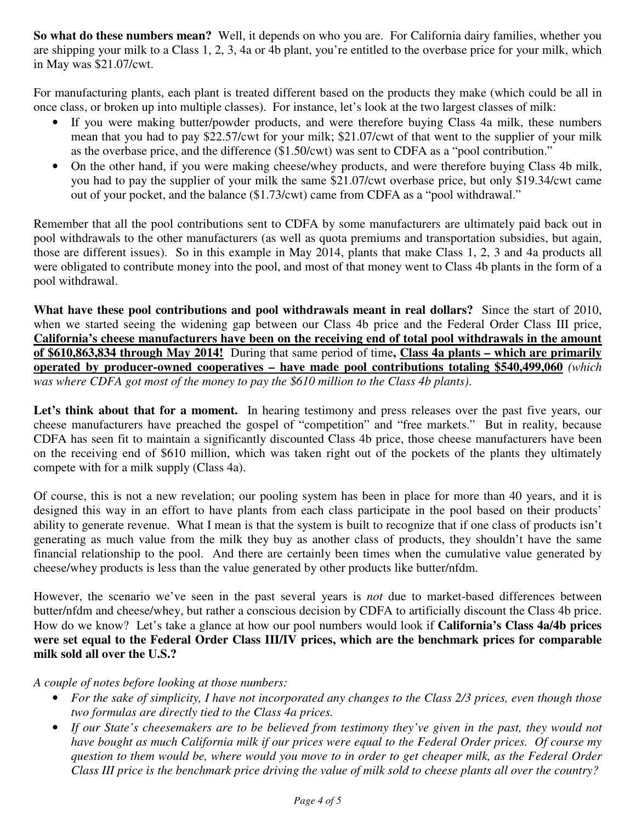**So what do these numbers mean?** Well, it depends on who you are. For California dairy families, whether you are shipping your milk to a Class 1, 2, 3, 4a or 4b plant, you're entitled to the overbase price for your milk, which in May was \$21.07/cwt.

For manufacturing plants, each plant is treated different based on the products they make (which could be all in once class, or broken up into multiple classes). For instance, let's look at the two largest classes of milk:

- If you were making butter/powder products, and were therefore buying Class 4a milk, these numbers mean that you had to pay \$22.57/cwt for your milk; \$21.07/cwt of that went to the supplier of your milk as the overbase price, and the difference (\$1.50/cwt) was sent to CDFA as a "pool contribution."
- On the other hand, if you were making cheese/whey products, and were therefore buying Class 4b milk, you had to pay the supplier of your milk the same \$21.07/cwt overbase price, but only \$19.34/cwt came out of your pocket, and the balance (\$1.73/cwt) came from CDFA as a "pool withdrawal."

Remember that all the pool contributions sent to CDFA by some manufacturers are ultimately paid back out in pool withdrawals to the other manufacturers (as well as quota premiums and transportation subsidies, but again, those are different issues). So in this example in May 2014, plants that make Class 1, 2, 3 and 4a products all were obligated to contribute money into the pool, and most of that money went to Class 4b plants in the form of a pool withdrawal.

**What have these pool contributions and pool withdrawals meant in real dollars?** Since the start of 2010, when we started seeing the widening gap between our Class 4b price and the Federal Order Class III price, **California's cheese manufacturers have been on the receiving end of total pool withdrawals in the amount of \$610,863,834 through May 2014!** During that same period of time**, Class 4a plants – which are primarily operated by producer-owned cooperatives – have made pool contributions totaling \$540,499,060** *(which was where CDFA got most of the money to pay the \$610 million to the Class 4b plants)*.

Let's think about that for a moment. In hearing testimony and press releases over the past five years, our cheese manufacturers have preached the gospel of "competition" and "free markets." But in reality, because CDFA has seen fit to maintain a significantly discounted Class 4b price, those cheese manufacturers have been on the receiving end of \$610 million, which was taken right out of the pockets of the plants they ultimately compete with for a milk supply (Class 4a).

Of course, this is not a new revelation; our pooling system has been in place for more than 40 years, and it is designed this way in an effort to have plants from each class participate in the pool based on their products' ability to generate revenue. What I mean is that the system is built to recognize that if one class of products isn't generating as much value from the milk they buy as another class of products, they shouldn't have the same financial relationship to the pool. And there are certainly been times when the cumulative value generated by cheese/whey products is less than the value generated by other products like butter/nfdm.

However, the scenario we've seen in the past several years is *not* due to market-based differences between butter/nfdm and cheese/whey, but rather a conscious decision by CDFA to artificially discount the Class 4b price. How do we know? Let's take a glance at how our pool numbers would look if **California's Class 4a/4b prices were set equal to the Federal Order Class III/IV prices, which are the benchmark prices for comparable milk sold all over the U.S.?** 

#### *A couple of notes before looking at those numbers:*

- *For the sake of simplicity, I have not incorporated any changes to the Class 2/3 prices, even though those two formulas are directly tied to the Class 4a prices.*
- *If our State's cheesemakers are to be believed from testimony they've given in the past, they would not have bought as much California milk if our prices were equal to the Federal Order prices. Of course my question to them would be, where would you move to in order to get cheaper milk, as the Federal Order Class III price is the benchmark price driving the value of milk sold to cheese plants all over the country?*